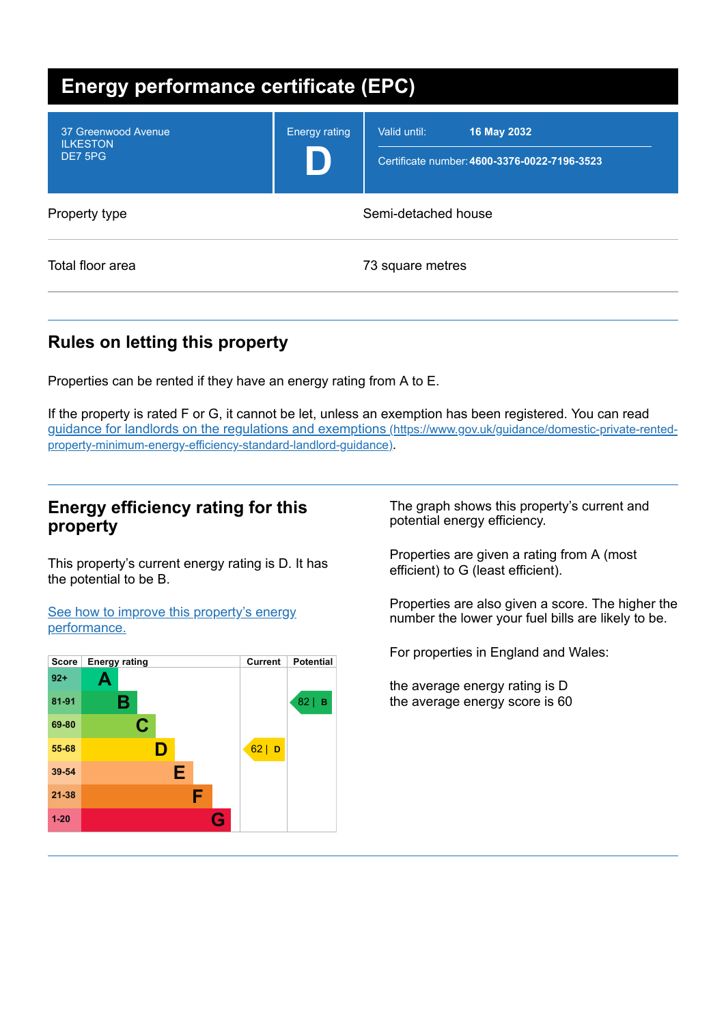| <b>Energy performance certificate (EPC)</b>       |                      |                                                                             |
|---------------------------------------------------|----------------------|-----------------------------------------------------------------------------|
| 37 Greenwood Avenue<br><b>ILKESTON</b><br>DE7 5PG | <b>Energy rating</b> | Valid until:<br>16 May 2032<br>Certificate number: 4600-3376-0022-7196-3523 |
| Property type                                     |                      | Semi-detached house                                                         |
| Total floor area                                  |                      | 73 square metres                                                            |

# **Rules on letting this property**

Properties can be rented if they have an energy rating from A to E.

If the property is rated F or G, it cannot be let, unless an exemption has been registered. You can read guidance for landlords on the regulations and exemptions (https://www.gov.uk/guidance/domestic-private-rented[property-minimum-energy-efficiency-standard-landlord-guidance\)](https://www.gov.uk/guidance/domestic-private-rented-property-minimum-energy-efficiency-standard-landlord-guidance).

# **Energy efficiency rating for this property**

This property's current energy rating is D. It has the potential to be B.

See how to improve this property's energy [performance.](#page-2-0)



The graph shows this property's current and potential energy efficiency.

Properties are given a rating from A (most efficient) to G (least efficient).

Properties are also given a score. The higher the number the lower your fuel bills are likely to be.

For properties in England and Wales:

the average energy rating is D the average energy score is 60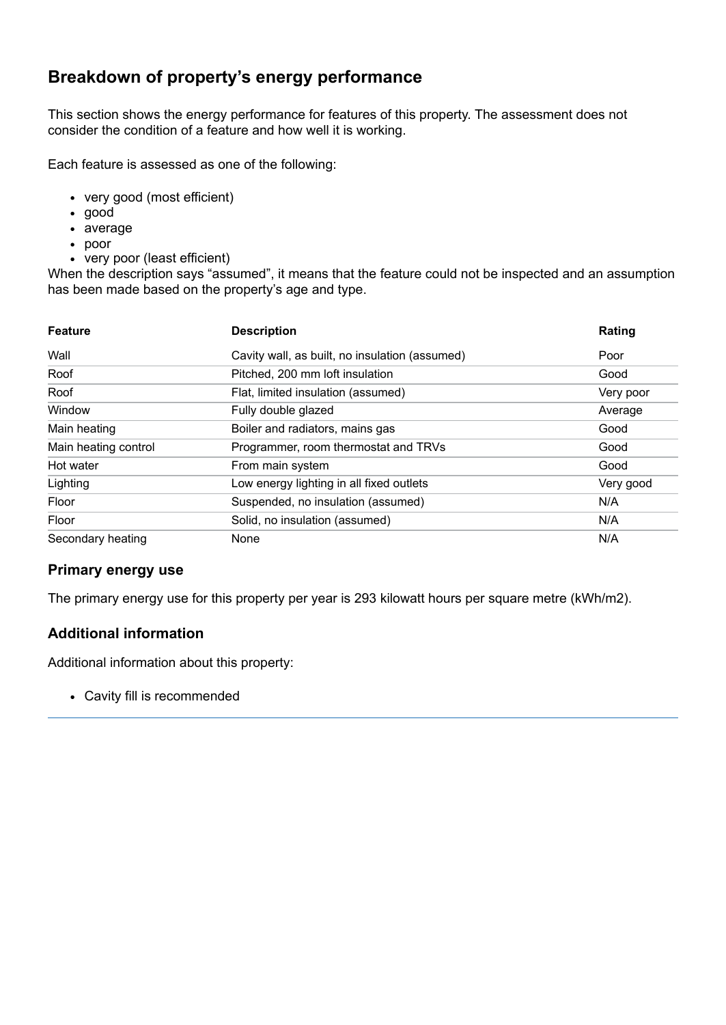# **Breakdown of property's energy performance**

This section shows the energy performance for features of this property. The assessment does not consider the condition of a feature and how well it is working.

Each feature is assessed as one of the following:

- very good (most efficient)
- good
- average
- poor
- very poor (least efficient)

When the description says "assumed", it means that the feature could not be inspected and an assumption has been made based on the property's age and type.

| <b>Feature</b>       | <b>Description</b>                             | Rating    |
|----------------------|------------------------------------------------|-----------|
| Wall                 | Cavity wall, as built, no insulation (assumed) | Poor      |
| Roof                 | Pitched, 200 mm loft insulation                | Good      |
| Roof                 | Flat, limited insulation (assumed)             | Very poor |
| Window               | Fully double glazed                            | Average   |
| Main heating         | Boiler and radiators, mains gas                | Good      |
| Main heating control | Programmer, room thermostat and TRVs           | Good      |
| Hot water            | From main system                               | Good      |
| Lighting             | Low energy lighting in all fixed outlets       | Very good |
| Floor                | Suspended, no insulation (assumed)             | N/A       |
| Floor                | Solid, no insulation (assumed)                 | N/A       |
| Secondary heating    | None                                           | N/A       |

### **Primary energy use**

The primary energy use for this property per year is 293 kilowatt hours per square metre (kWh/m2).

### **Additional information**

Additional information about this property:

Cavity fill is recommended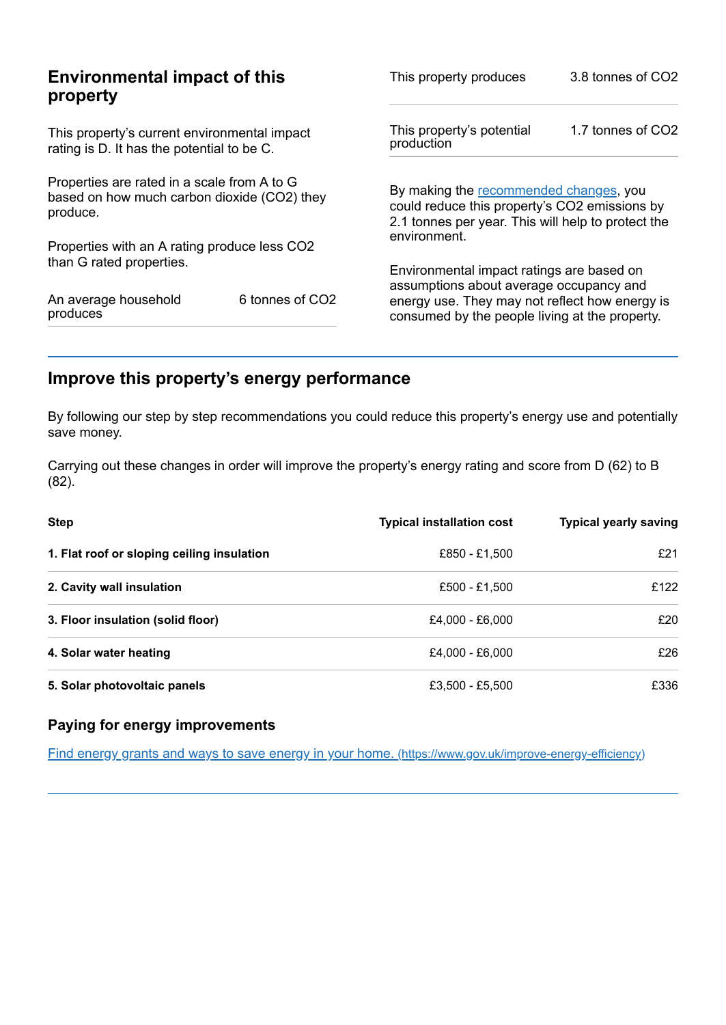| <b>Environmental impact of this</b><br>property                                                        |                 | This property produces                                                                                                                        | 3.8 tonnes of CO2 |
|--------------------------------------------------------------------------------------------------------|-----------------|-----------------------------------------------------------------------------------------------------------------------------------------------|-------------------|
| This property's current environmental impact<br>rating is D. It has the potential to be C.             |                 | This property's potential<br>production                                                                                                       | 1.7 tonnes of CO2 |
| Properties are rated in a scale from A to G<br>based on how much carbon dioxide (CO2) they<br>produce. |                 | By making the recommended changes, you<br>could reduce this property's CO2 emissions by<br>2.1 tonnes per year. This will help to protect the |                   |
| Properties with an A rating produce less CO2                                                           |                 | environment.                                                                                                                                  |                   |
| than G rated properties.                                                                               |                 | Environmental impact ratings are based on<br>assumptions about average occupancy and                                                          |                   |
| An average household<br>produces                                                                       | 6 tonnes of CO2 | energy use. They may not reflect how energy is<br>consumed by the people living at the property.                                              |                   |

# <span id="page-2-0"></span>**Improve this property's energy performance**

By following our step by step recommendations you could reduce this property's energy use and potentially save money.

Carrying out these changes in order will improve the property's energy rating and score from D (62) to B (82).

| <b>Step</b>                                | <b>Typical installation cost</b> | <b>Typical yearly saving</b> |
|--------------------------------------------|----------------------------------|------------------------------|
| 1. Flat roof or sloping ceiling insulation | £850 - £1,500                    | f21                          |
| 2. Cavity wall insulation                  | £500 - £1,500                    | £122                         |
| 3. Floor insulation (solid floor)          | £4,000 - £6,000                  | £20                          |
| 4. Solar water heating                     | £4,000 - £6,000                  | £26                          |
| 5. Solar photovoltaic panels               | £3,500 - £5,500                  | £336                         |

### **Paying for energy improvements**

Find energy grants and ways to save energy in your home. [\(https://www.gov.uk/improve-energy-efficiency\)](https://www.gov.uk/improve-energy-efficiency)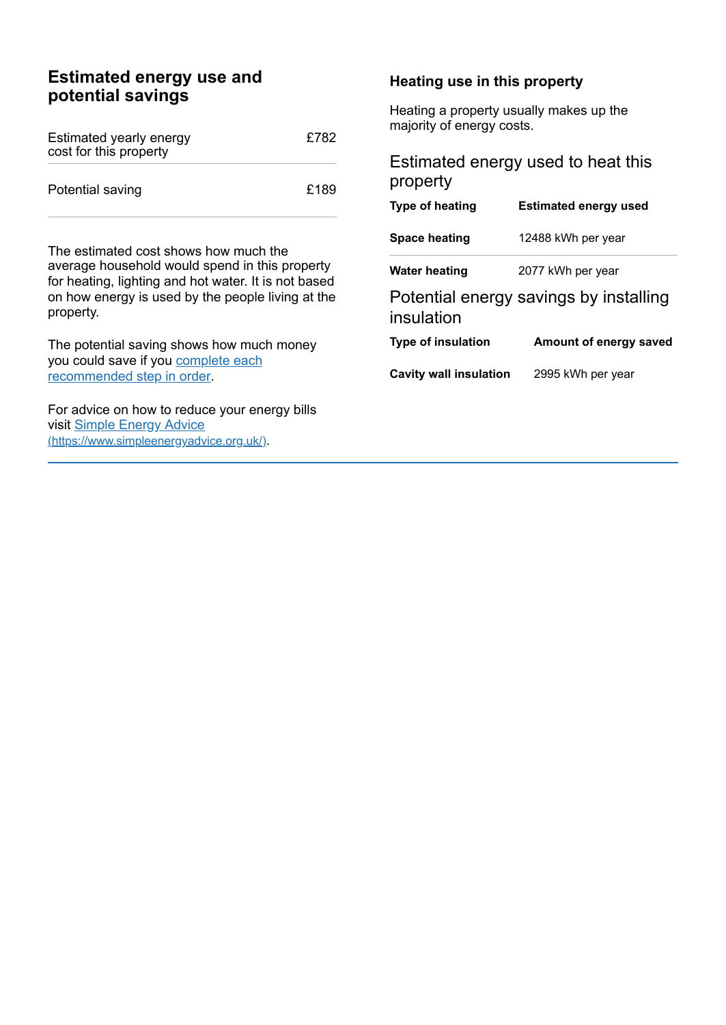## **Estimated energy use and potential savings**

| Estimated yearly energy<br>cost for this property | £782 |
|---------------------------------------------------|------|
| Potential saving                                  | £189 |

The estimated cost shows how much the average household would spend in this property for heating, lighting and hot water. It is not based on how energy is used by the people living at the property.

The potential saving shows how much money you could save if you complete each [recommended](#page-2-0) step in order.

For advice on how to reduce your energy bills visit Simple Energy Advice [\(https://www.simpleenergyadvice.org.uk/\)](https://www.simpleenergyadvice.org.uk/).

#### **Heating use in this property**

Heating a property usually makes up the majority of energy costs.

## Estimated energy used to heat this property

| Type of heating               | <b>Estimated energy used</b>           |
|-------------------------------|----------------------------------------|
| Space heating                 | 12488 kWh per year                     |
| <b>Water heating</b>          | 2077 kWh per year                      |
| insulation                    | Potential energy savings by installing |
| <b>Type of insulation</b>     | Amount of energy saved                 |
| <b>Cavity wall insulation</b> | 2995 kWh per year                      |